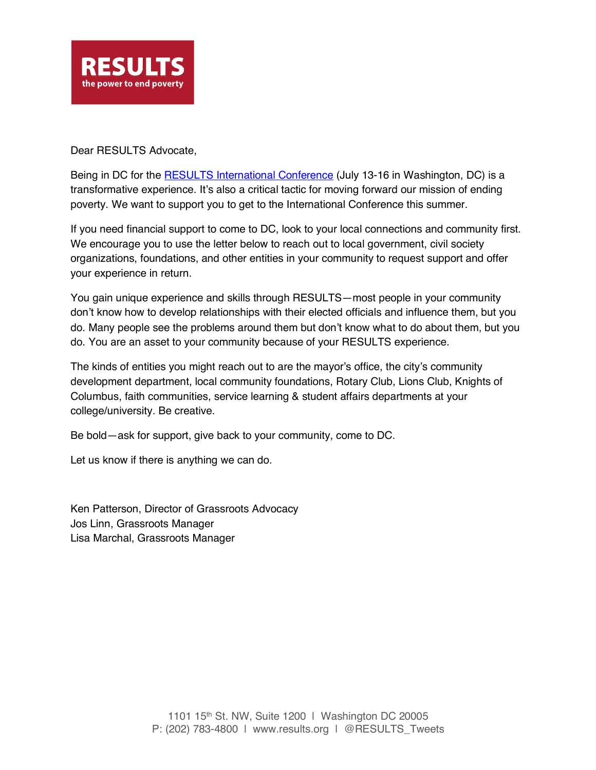

Dear RESULTS Advocate,

Being in DC for the **RESULTS International Conference** (July 13-16 in Washington, DC) is a transformative experience. It's also a critical tactic for moving forward our mission of ending poverty. We want to support you to get to the International Conference this summer.

If you need financial support to come to DC, look to your local connections and community first. We encourage you to use the letter below to reach out to local government, civil society organizations, foundations, and other entities in your community to request support and offer your experience in return.

You gain unique experience and skills through RESULTS—most people in your community don't know how to develop relationships with their elected officials and influence them, but you do. Many people see the problems around them but don't know what to do about them, but you do. You are an asset to your community because of your RESULTS experience.

The kinds of entities you might reach out to are the mayor's office, the city's community development department, local community foundations, Rotary Club, Lions Club, Knights of Columbus, faith communities, service learning & student affairs departments at your college/university. Be creative.

Be bold—ask for support, give back to your community, come to DC.

Let us know if there is anything we can do.

Ken Patterson, Director of Grassroots Advocacy Jos Linn, Grassroots Manager Lisa Marchal, Grassroots Manager